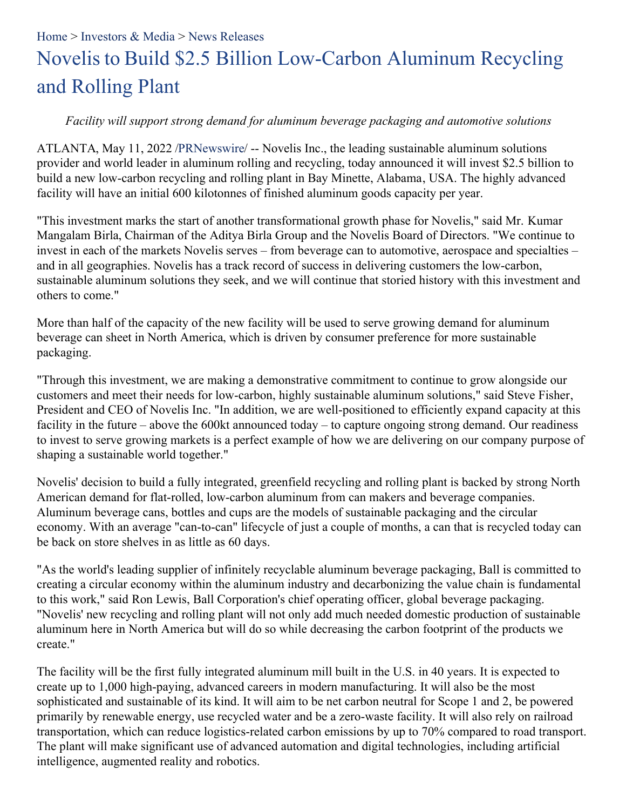#### [Home](http://novelis.com/) > [Investors](https://investors.novelis.com/index.php) & Media > News [Releases](https://investors.novelis.com/news-releases?category=2)

# Novelis to Build \$2.5 Billion Low-Carbon Aluminum Recycling and Rolling Plant

### *Facility will support strong demand for aluminum beverage packaging and automotive solutions*

ATLANTA, May 11, 2022 [/PRNewswire/](http://www.prnewswire.com/) -- Novelis Inc., the leading sustainable aluminum solutions provider and world leader in aluminum rolling and recycling, today announced it will invest \$2.5 billion to build a new low-carbon recycling and rolling plant in Bay Minette, Alabama, USA. The highly advanced facility will have an initial 600 kilotonnes of finished aluminum goods capacity per year.

"This investment marks the start of another transformational growth phase for Novelis," said Mr. Kumar Mangalam Birla, Chairman of the Aditya Birla Group and the Novelis Board of Directors. "We continue to invest in each of the markets Novelis serves – from beverage can to automotive, aerospace and specialties – and in all geographies. Novelis has a track record of success in delivering customers the low-carbon, sustainable aluminum solutions they seek, and we will continue that storied history with this investment and others to come."

More than half of the capacity of the new facility will be used to serve growing demand for aluminum beverage can sheet in North America, which is driven by consumer preference for more sustainable packaging.

"Through this investment, we are making a demonstrative commitment to continue to grow alongside our customers and meet their needs for low-carbon, highly sustainable aluminum solutions," said Steve Fisher, President and CEO of Novelis Inc. "In addition, we are well-positioned to efficiently expand capacity at this facility in the future – above the 600kt announced today – to capture ongoing strong demand. Our readiness to invest to serve growing markets is a perfect example of how we are delivering on our company purpose of shaping a sustainable world together."

Novelis' decision to build a fully integrated, greenfield recycling and rolling plant is backed by strong North American demand for flat-rolled, low-carbon aluminum from can makers and beverage companies. Aluminum beverage cans, bottles and cups are the models of sustainable packaging and the circular economy. With an average "can-to-can" lifecycle of just a couple of months, a can that is recycled today can be back on store shelves in as little as 60 days.

"As the world's leading supplier of infinitely recyclable aluminum beverage packaging, Ball is committed to creating a circular economy within the aluminum industry and decarbonizing the value chain is fundamental to this work," said Ron Lewis, Ball Corporation's chief operating officer, global beverage packaging. "Novelis' new recycling and rolling plant will not only add much needed domestic production of sustainable aluminum here in North America but will do so while decreasing the carbon footprint of the products we create."

The facility will be the first fully integrated aluminum mill built in the U.S. in 40 years. It is expected to create up to 1,000 high-paying, advanced careers in modern manufacturing. It will also be the most sophisticated and sustainable of its kind. It will aim to be net carbon neutral for Scope 1 and 2, be powered primarily by renewable energy, use recycled water and be a zero-waste facility. It will also rely on railroad transportation, which can reduce logistics-related carbon emissions by up to 70% compared to road transport. The plant will make significant use of advanced automation and digital technologies, including artificial intelligence, augmented reality and robotics.